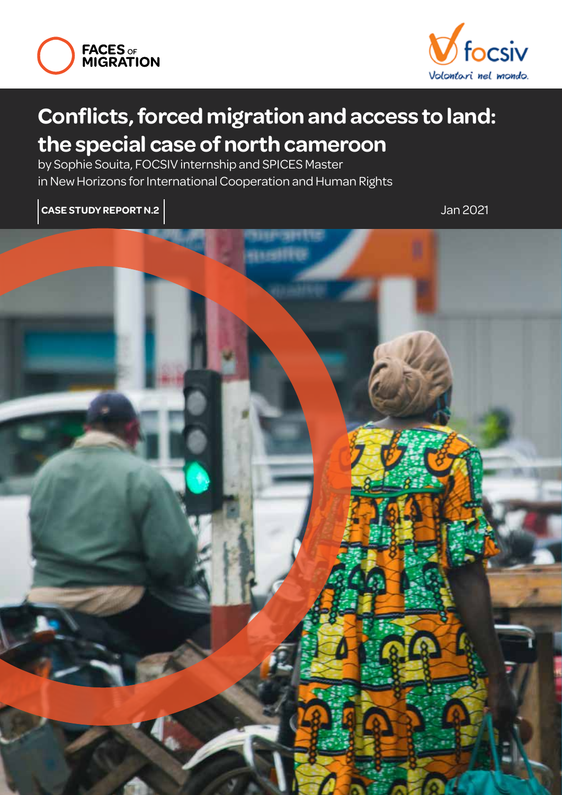



### **Conflicts, forced migration and access to land: the special case of north cameroon**

by Sophie Souita, FOCSIV internship and SPICES Master in New Horizons for International Cooperation and Human Rights

**case study report n.2**

Jan 2021

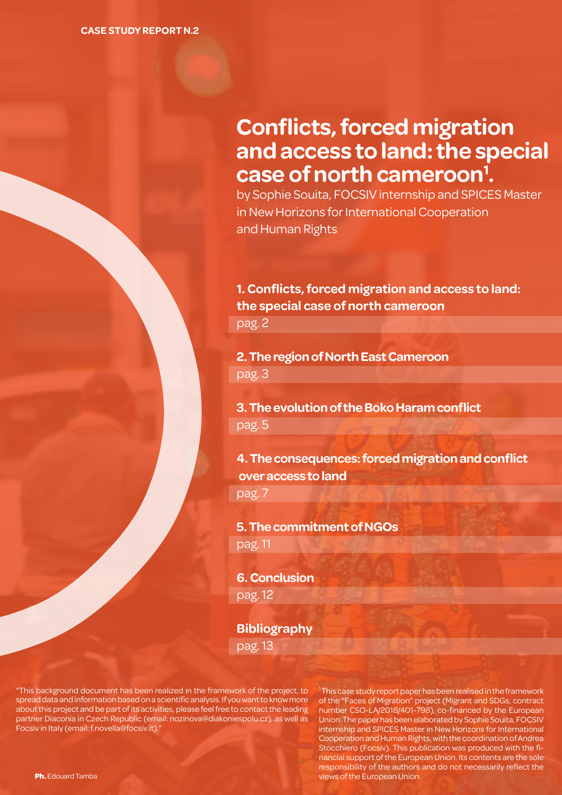### **Conflicts, forced migration and access to land: the special case of north cameroon<sup>1</sup> .**

by Sophie Souita, FOCSIV internship and SPICES Master in New Horizons for International Cooperation and Human Rights

#### **1. Conflicts, forced migration and access to land: the special case of north cameroon**

pag. 2

**2. The region of North East Cameroon** pag. 3

**3. The evolution of the Boko Haram conflict** pag. 5

**4. The consequences: forced migration and conflict over access to land** pag. 7

**5. The commitment of NGOs**  pag. 11

**6. Conclusion**  pag. 12

**Bibliography** pag. 13

"This background document has been realized in the framework of the project, to spread data and information based on a scientific analysis. If you want to know more about this project and be part of its activities, please feel free to contact the leading partner Diaconia in Czech Republic (email: nozinova@diakoniespolu.cz), as well as Focsiv in Italy (email: f.novella@focsiv.it)."

<sup>1</sup>This case study report paper has been realised in the framework of the "Faces of Migration" project (Migrant and SDGs, contract number CSO-LA/2018/401-798), co-financed by the European Union. The paper has been elaborated by Sophie Souita, FOCSIV internship and SPICES Master in New Horizons for International Cooperation and Human Rights, with the coordination of Andrea Stocchiero (Focsiv). This publication was produced with the financial support of the European Union. Its contents are the sole responsibility of the authors and do not necessarily reflect the **Ph.** Edouard Tamba views of the European Union.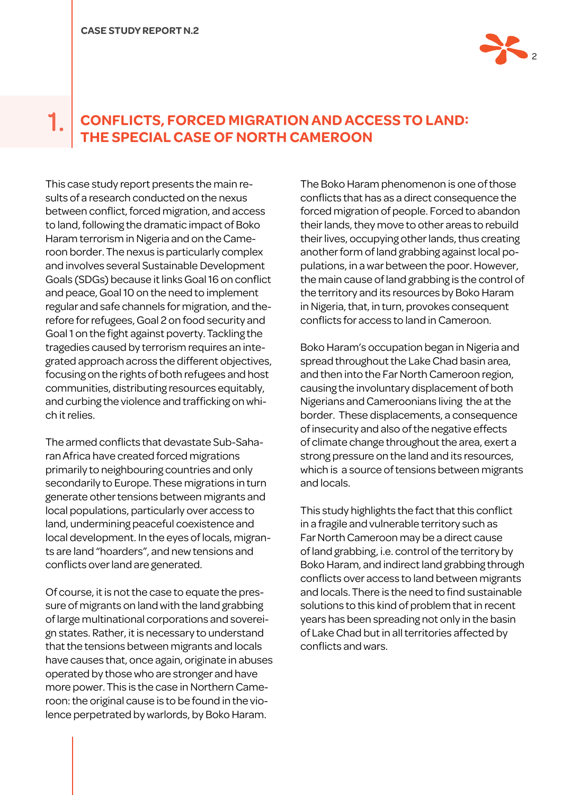

#### **CONFLICTS, FORCED MIGRATION AND ACCESS TO LAND: THE SPECIAL CASE OF NORTH CAMEROON** 1.

This case study report presents the main results of a research conducted on the nexus between conflict, forced migration, and access to land, following the dramatic impact of Boko Haram terrorism in Nigeria and on the Cameroon border. The nexus is particularly complex and involves several Sustainable Development Goals (SDGs) because it links Goal 16 on conflict and peace, Goal 10 on the need to implement regular and safe channels for migration, and therefore for refugees, Goal 2 on food security and Goal 1 on the fight against poverty. Tackling the tragedies caused by terrorism requires an integrated approach across the different objectives, focusing on the rights of both refugees and host communities, distributing resources equitably, and curbing the violence and trafficking on which it relies.

The armed conflicts that devastate Sub-Saharan Africa have created forced migrations primarily to neighbouring countries and only secondarily to Europe. These migrations in turn generate other tensions between migrants and local populations, particularly over access to land, undermining peaceful coexistence and local development. In the eyes of locals, migrants are land "hoarders", and new tensions and conflicts over land are generated.

Of course, it is not the case to equate the pressure of migrants on land with the land grabbing of large multinational corporations and sovereign states. Rather, it is necessary to understand that the tensions between migrants and locals have causes that, once again, originate in abuses operated by those who are stronger and have more power. This is the case in Northern Cameroon: the original cause is to be found in the violence perpetrated by warlords, by Boko Haram.

The Boko Haram phenomenon is one of those conflicts that has as a direct consequence the forced migration of people. Forced to abandon their lands, they move to other areas to rebuild their lives, occupying other lands, thus creating another form of land grabbing against local populations, in a war between the poor. However, the main cause of land grabbing is the control of the territory and its resources by Boko Haram in Nigeria, that, in turn, provokes consequent conflicts for access to land in Cameroon.

Boko Haram's occupation began in Nigeria and spread throughout the Lake Chad basin area, and then into the Far North Cameroon region, causing the involuntary displacement of both Nigerians and Cameroonians living the at the border. These displacements, a consequence of insecurity and also of the negative effects of climate change throughout the area, exert a strong pressure on the land and its resources, which is a source of tensions between migrants and locals.

This study highlights the fact that this conflict in a fragile and vulnerable territory such as Far North Cameroon may be a direct cause of land grabbing, i.e. control of the territory by Boko Haram, and indirect land grabbing through conflicts over access to land between migrants and locals. There is the need to find sustainable solutions to this kind of problem that in recent years has been spreading not only in the basin of Lake Chad but in all territories affected by conflicts and wars.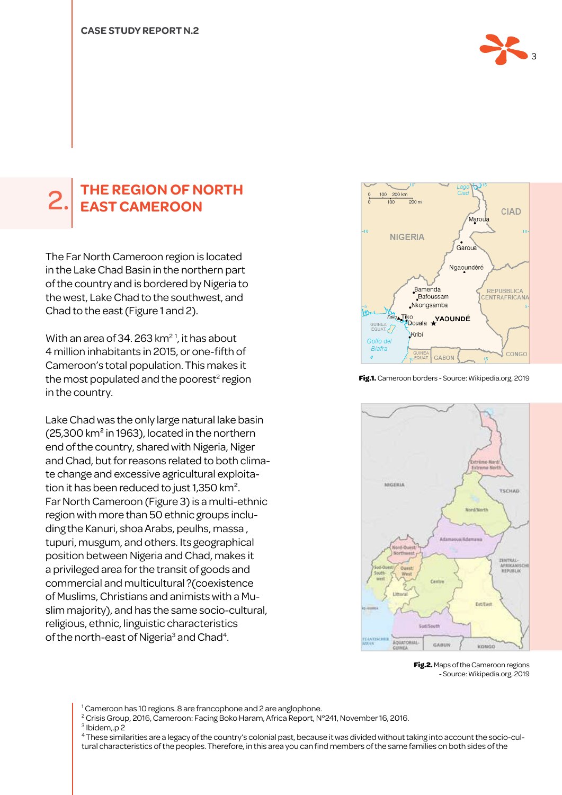

## **The region of North** 2. **East Cameroon**

The Far North Cameroon region is located in the Lake Chad Basin in the northern part of the country and is bordered by Nigeria to the west, Lake Chad to the southwest, and Chad to the east (Figure 1 and 2).

With an area of 34, 263 km<sup>21</sup>, it has about 4 million inhabitants in 2015, or one-fifth of Cameroon's total population. This makes it the most populated and the poorest<sup>2</sup> region in the country.

Lake Chad was the only large natural lake basin (25,300 km² in 1963), located in the northern end of the country, shared with Nigeria, Niger and Chad, but for reasons related to both climate change and excessive agricultural exploitation it has been reduced to just 1,350 km². Far North Cameroon (Figure 3) is a multi-ethnic region with more than 50 ethnic groups including the Kanuri, shoa Arabs, peulhs, massa , tupuri, musgum, and others. Its geographical position between Nigeria and Chad, makes it a privileged area for the transit of goods and commercial and multicultural ?(coexistence of Muslims, Christians and animists with a Muslim majority), and has the same socio-cultural, religious, ethnic, linguistic characteristics of the north-east of Nigeria<sup>3</sup> and Chad<sup>4</sup>.



**Fig.1.** Cameroon borders - Source: Wikipedia.org, 2019



**Fig.2.** Maps of the Cameroon regions - Source: Wikipedia.org, 2019

<sup>1</sup> Cameroon has 10 regions. 8 are francophone and 2 are anglophone.

 $^2$  Crisis Group, 2016, Cameroon: Facing Boko Haram, Africa Report, N°241, November 16, 2016.

3 Ibidem,.p 2

4 These similarities are a legacy of the country's colonial past, because it was divided without taking into account the socio-cultural characteristics of the peoples. Therefore, in this area you can find members of the same families on both sides of the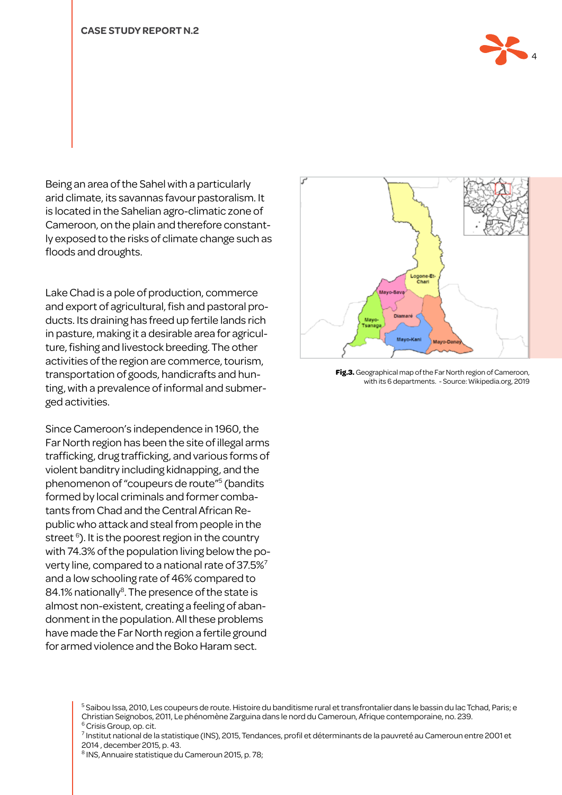

Being an area of the Sahel with a particularly arid climate, its savannas favour pastoralism. It is located in the Sahelian agro-climatic zone of Cameroon, on the plain and therefore constantly exposed to the risks of climate change such as floods and droughts.

Lake Chad is a pole of production, commerce and export of agricultural, fish and pastoral products. Its draining has freed up fertile lands rich in pasture, making it a desirable area for agriculture, fishing and livestock breeding. The other activities of the region are commerce, tourism, transportation of goods, handicrafts and hunting, with a prevalence of informal and submerged activities.

Since Cameroon's independence in 1960, the Far North region has been the site of illegal arms trafficking, drug trafficking, and various forms of violent banditry including kidnapping, and the phenomenon of "coupeurs de route"5 (bandits formed by local criminals and former combatants from Chad and the Central African Republic who attack and steal from people in the street <sup>6</sup>). It is the poorest region in the country with 74.3% of the population living below the poverty line, compared to a national rate of 37.5%7 and a low schooling rate of 46% compared to 84.1% nationally<sup>8</sup>. The presence of the state is almost non-existent, creating a feeling of abandonment in the population. All these problems have made the Far North region a fertile ground for armed violence and the Boko Haram sect.



**Fig.3.** Geographical map of the Far North region of Cameroon, with its 6 departments. - Source: Wikipedia.org, 2019

<sup>5</sup> Saibou Issa, 2010, Les coupeurs de route. Histoire du banditisme rural et transfrontalier dans le bassin du lac Tchad, Paris; e Christian Seignobos, 2011, Le phénomène Zarguina dans le nord du Cameroun, Afrique contemporaine, no. 239. <sup>6</sup> Crisis Group, op. cit.

7 Institut national de la statistique (INS), 2015, Tendances, profil et déterminants de la pauvreté au Cameroun entre 2001 et 2014 , december 2015, p. 43.

8 INS, Annuaire statistique du Cameroun 2015, p. 78;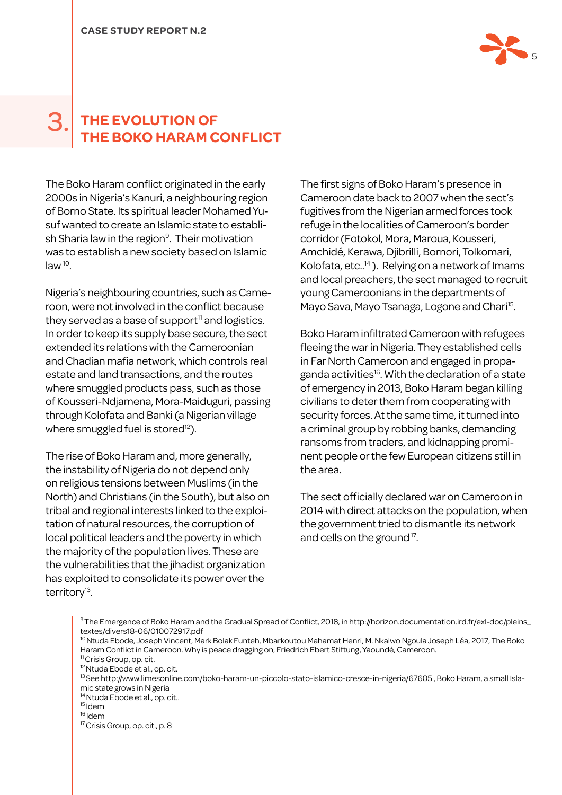

#### **The evolution of the Boko Haram conflict** 3.

The Boko Haram conflict originated in the early 2000s in Nigeria's Kanuri, a neighbouring region of Borno State. Its spiritual leader Mohamed Yusuf wanted to create an Islamic state to establish Sharia law in the region<sup>9</sup>. Their motivation was to establish a new society based on Islamic  $law<sup>10</sup>$ .

Nigeria's neighbouring countries, such as Cameroon, were not involved in the conflict because they served as a base of support $11$  and logistics. In order to keep its supply base secure, the sect extended its relations with the Cameroonian and Chadian mafia network, which controls real estate and land transactions, and the routes where smuggled products pass, such as those of Kousseri-Ndjamena, Mora-Maiduguri, passing through Kolofata and Banki (a Nigerian village where smuggled fuel is stored<sup>12</sup>).

The rise of Boko Haram and, more generally, the instability of Nigeria do not depend only on religious tensions between Muslims (in the North) and Christians (in the South), but also on tribal and regional interests linked to the exploitation of natural resources, the corruption of local political leaders and the poverty in which the majority of the population lives. These are the vulnerabilities that the jihadist organization has exploited to consolidate its power over the territory<sup>13</sup>.

The first signs of Boko Haram's presence in Cameroon date back to 2007 when the sect's fugitives from the Nigerian armed forces took refuge in the localities of Cameroon's border corridor (Fotokol, Mora, Maroua, Kousseri, Amchidé, Kerawa, Djibrilli, Bornori, Tolkomari, Kolofata, etc..14 ). Relying on a network of Imams and local preachers, the sect managed to recruit young Cameroonians in the departments of Mayo Sava, Mayo Tsanaga, Logone and Chari<sup>15</sup>.

Boko Haram infiltrated Cameroon with refugees fleeing the war in Nigeria. They established cells in Far North Cameroon and engaged in propaganda activities<sup>16</sup>. With the declaration of a state of emergency in 2013, Boko Haram began killing civilians to deter them from cooperating with security forces. At the same time, it turned into a criminal group by robbing banks, demanding ransoms from traders, and kidnapping prominent people or the few European citizens still in the area.

The sect officially declared war on Cameroon in 2014 with direct attacks on the population, when the government tried to dismantle its network and cells on the ground<sup>17</sup>.

- <sup>10</sup> Ntuda Ebode, Joseph Vincent, Mark Bolak Funteh, Mbarkoutou Mahamat Henri, M. Nkalwo Ngoula Joseph Léa, 2017, The Boko Haram Conflict in Cameroon. Why is peace dragging on, Friedrich Ebert Stiftung, Yaoundé, Cameroon.
- <sup>11</sup> Crisis Group, op. cit.
- <sup>12</sup> Ntuda Ebode et al., op. cit.
- 13 See http://www.limesonline.com/boko-haram-un-piccolo-stato-islamico-cresce-in-nigeria/67605 , Boko Haram, a small Islamic state grows in Nigeria
- <sup>14</sup> Ntuda Ebode et al., op. cit..
- 15 Idem
- $16$  Idem
- <sup>17</sup> Crisis Group, op. cit., p. 8

<sup>9</sup>The Emergence of Boko Haram and the Gradual Spread of Conflict, 2018, in http://horizon.documentation.ird.fr/exl-doc/pleins\_ textes/divers18-06/010072917.pdf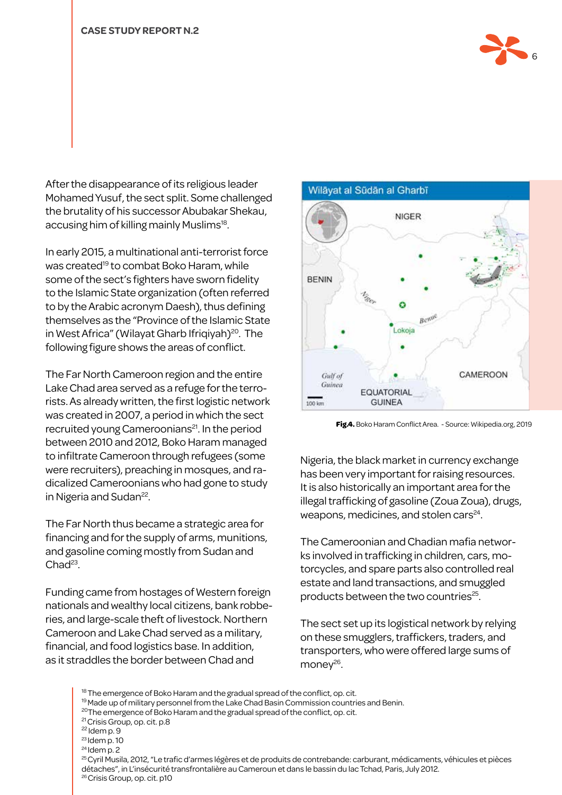

After the disappearance of its religious leader Mohamed Yusuf, the sect split. Some challenged the brutality of his successor Abubakar Shekau, accusing him of killing mainly Muslims<sup>18</sup>.

In early 2015, a multinational anti-terrorist force was created<sup>19</sup> to combat Boko Haram, while some of the sect's fighters have sworn fidelity to the Islamic State organization (often referred to by the Arabic acronym Daesh), thus defining themselves as the "Province of the Islamic State in West Africa" (Wilayat Gharb Ifriqiyah)<sup>20</sup>. The following figure shows the areas of conflict.

The Far North Cameroon region and the entire Lake Chad area served as a refuge for the terrorists. As already written, the first logistic network was created in 2007, a period in which the sect recruited young Cameroonians<sup>21</sup>. In the period between 2010 and 2012, Boko Haram managed to infiltrate Cameroon through refugees (some were recruiters), preaching in mosques, and radicalized Cameroonians who had gone to study in Nigeria and Sudan<sup>22</sup>.

The Far North thus became a strategic area for financing and for the supply of arms, munitions, and gasoline coming mostly from Sudan and  $Chad<sup>23</sup>$ 

Funding came from hostages of Western foreign nationals and wealthy local citizens, bank robberies, and large-scale theft of livestock. Northern Cameroon and Lake Chad served as a military, financial, and food logistics base. In addition, as it straddles the border between Chad and



**Fig.4.** Boko Haram Conflict Area. - Source: Wikipedia.org, 2019

Nigeria, the black market in currency exchange has been very important for raising resources. It is also historically an important area for the illegal trafficking of gasoline (Zoua Zoua), drugs, weapons, medicines, and stolen cars $^{24}$ .

The Cameroonian and Chadian mafia networks involved in trafficking in children, cars, motorcycles, and spare parts also controlled real estate and land transactions, and smuggled products between the two countries<sup>25</sup>.

The sect set up its logistical network by relying on these smugglers, traffickers, traders, and transporters, who were offered large sums of mone $y^{26}$ .

<sup>18</sup> The emergence of Boko Haram and the gradual spread of the conflict, op. cit. <sup>19</sup> Made up of military personnel from the Lake Chad Basin Commission countries and Benin. <sup>20</sup>The emergence of Boko Haram and the gradual spread of the conflict, op. cit. 21 Crisis Group, op. cit. p.8 22 Idem p. 9  $23$  Idem p. 10  $24$  Idem p. 2 <sup>25</sup> Cyril Musila, 2012, "Le trafic d'armes légères et de produits de contrebande: carburant, médicaments, véhicules et pièces détaches", in L'insécurité transfrontalière au Cameroun et dans le bassin du lac Tchad, Paris, July 2012. <sup>26</sup> Crisis Group, op. cit. p10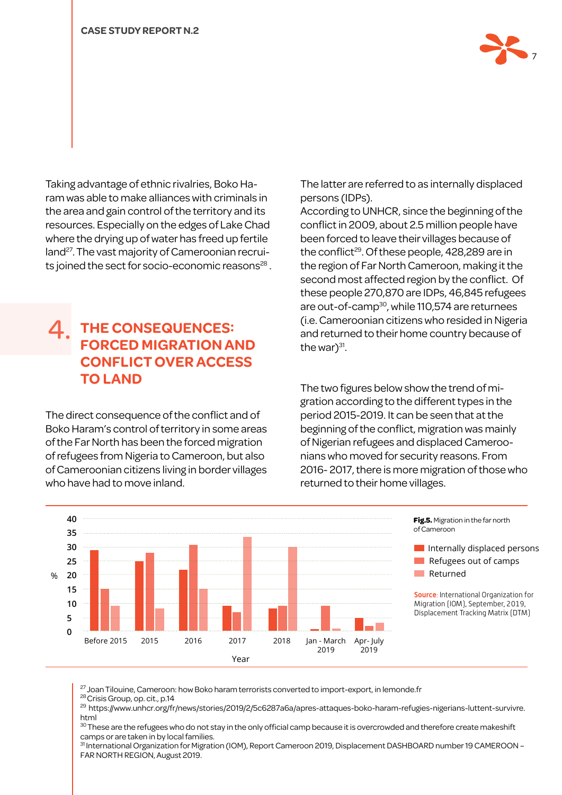

Taking advantage of ethnic rivalries, Boko Haram was able to make alliances with criminals in the area and gain control of the territory and its resources. Especially on the edges of Lake Chad where the drying up of water has freed up fertile land<sup>27</sup>. The vast majority of Cameroonian recruits joined the sect for socio-economic reasons<sup>28</sup>.

#### **The consequences: forced migration and conflict over access to land** 4.

The direct consequence of the conflict and of Boko Haram's control of territory in some areas of the Far North has been the forced migration of refugees from Nigeria to Cameroon, but also of Cameroonian citizens living in border villages who have had to move inland.

The latter are referred to as internally displaced persons (IDPs).

According to UNHCR, since the beginning of the conflict in 2009, about 2.5 million people have been forced to leave their villages because of the conflict<sup>29</sup>. Of these people, 428,289 are in the region of Far North Cameroon, making it the second most affected region by the conflict. Of these people 270,870 are IDPs, 46,845 refugees are out-of-camp<sup>30</sup>, while 110,574 are returnees (i.e. Cameroonian citizens who resided in Nigeria and returned to their home country because of the war $3^{31}$ .

The two figures below show the trend of migration according to the different types in the period 2015-2019. It can be seen that at the beginning of the conflict, migration was mainly of Nigerian refugees and displaced Cameroonians who moved for security reasons. From 2016- 2017, there is more migration of those who returned to their home villages.



<sup>27</sup> Joan Tilouine, Cameroon: how Boko haram terrorists converted to import-export, in lemonde.fr

<sup>28</sup> Crisis Group, op. cit., p.14

<sup>29</sup> https://www.unhcr.org/fr/news/stories/2019/2/5c6287a6a/apres-attaques-boko-haram-refugies-nigerians-luttent-survivre. html

 $\rm^{30}$  These are the refugees who do not stay in the only official camp because it is overcrowded and therefore create makeshift camps or are taken in by local families.

<sup>31</sup> International Organization for Migration (IOM), Report Cameroon 2019, Displacement DASHBOARD number 19 CAMEROON – FAR NORTH REGION, August 2019.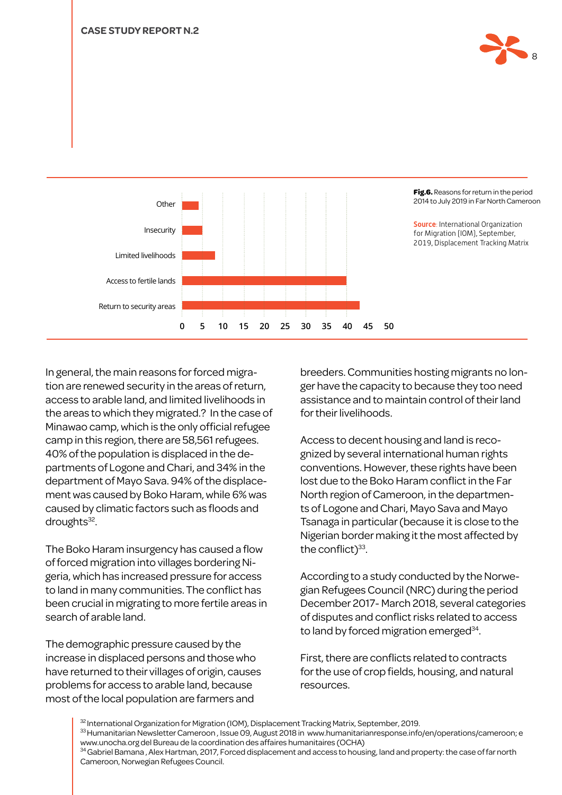



In general, the main reasons for forced migration are renewed security in the areas of return, access to arable land, and limited livelihoods in the areas to which they migrated.? In the case of Minawao camp, which is the only official refugee camp in this region, there are 58,561 refugees. 40% of the population is displaced in the departments of Logone and Chari, and 34% in the department of Mayo Sava. 94% of the displacement was caused by Boko Haram, while 6% was caused by climatic factors such as floods and droughts<sup>32</sup>.

The Boko Haram insurgency has caused a flow of forced migration into villages bordering Nigeria, which has increased pressure for access to land in many communities. The conflict has been crucial in migrating to more fertile areas in search of arable land.

The demographic pressure caused by the increase in displaced persons and those who have returned to their villages of origin, causes problems for access to arable land, because most of the local population are farmers and

breeders. Communities hosting migrants no longer have the capacity to because they too need assistance and to maintain control of their land for their livelihoods.

Access to decent housing and land is recognized by several international human rights conventions. However, these rights have been lost due to the Boko Haram conflict in the Far North region of Cameroon, in the departments of Logone and Chari, Mayo Sava and Mayo Tsanaga in particular (because it is close to the Nigerian border making it the most affected by the conflict) $33$ .

According to a study conducted by the Norwegian Refugees Council (NRC) during the period December 2017- March 2018, several categories of disputes and conflict risks related to access to land by forced migration emerged<sup>34</sup>.

First, there are conflicts related to contracts for the use of crop fields, housing, and natural resources.

 $32$  International Organization for Migration (IOM), Displacement Tracking Matrix, September, 2019. 33 Humanitarian Newsletter Cameroon, Issue 09, August 2018 in www.humanitarianresponse.info/en/operations/cameroon; e www.unocha.org del Bureau de la coordination des affaires humanitaires (OCHA) 34 Gabriel Bamana , Alex Hartman, 2017, Forced displacement and access to housing, land and property: the case of far north Cameroon, Norwegian Refugees Council.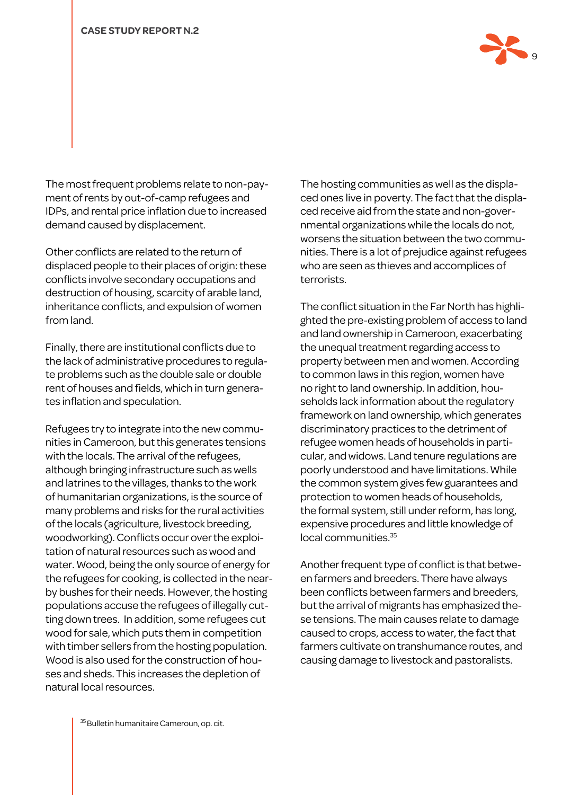

The most frequent problems relate to non-payment of rents by out-of-camp refugees and IDPs, and rental price inflation due to increased demand caused by displacement.

Other conflicts are related to the return of displaced people to their places of origin: these conflicts involve secondary occupations and destruction of housing, scarcity of arable land, inheritance conflicts, and expulsion of women from land.

Finally, there are institutional conflicts due to the lack of administrative procedures to regulate problems such as the double sale or double rent of houses and fields, which in turn generates inflation and speculation.

Refugees try to integrate into the new communities in Cameroon, but this generates tensions with the locals. The arrival of the refugees, although bringing infrastructure such as wells and latrines to the villages, thanks to the work of humanitarian organizations, is the source of many problems and risks for the rural activities of the locals (agriculture, livestock breeding, woodworking). Conflicts occur over the exploitation of natural resources such as wood and water. Wood, being the only source of energy for the refugees for cooking, is collected in the nearby bushes for their needs. However, the hosting populations accuse the refugees of illegally cutting down trees. In addition, some refugees cut wood for sale, which puts them in competition with timber sellers from the hosting population. Wood is also used for the construction of houses and sheds. This increases the depletion of natural local resources.

The hosting communities as well as the displaced ones live in poverty. The fact that the displaced receive aid from the state and non-governmental organizations while the locals do not, worsens the situation between the two communities. There is a lot of prejudice against refugees who are seen as thieves and accomplices of terrorists.

The conflict situation in the Far North has highlighted the pre-existing problem of access to land and land ownership in Cameroon, exacerbating the unequal treatment regarding access to property between men and women. According to common laws in this region, women have no right to land ownership. In addition, households lack information about the regulatory framework on land ownership, which generates discriminatory practices to the detriment of refugee women heads of households in particular, and widows. Land tenure regulations are poorly understood and have limitations. While the common system gives few guarantees and protection to women heads of households, the formal system, still under reform, has long, expensive procedures and little knowledge of local communities.35

Another frequent type of conflict is that between farmers and breeders. There have always been conflicts between farmers and breeders, but the arrival of migrants has emphasized these tensions. The main causes relate to damage caused to crops, access to water, the fact that farmers cultivate on transhumance routes, and causing damage to livestock and pastoralists.

<sup>35</sup> Bulletin humanitaire Cameroun, op. cit.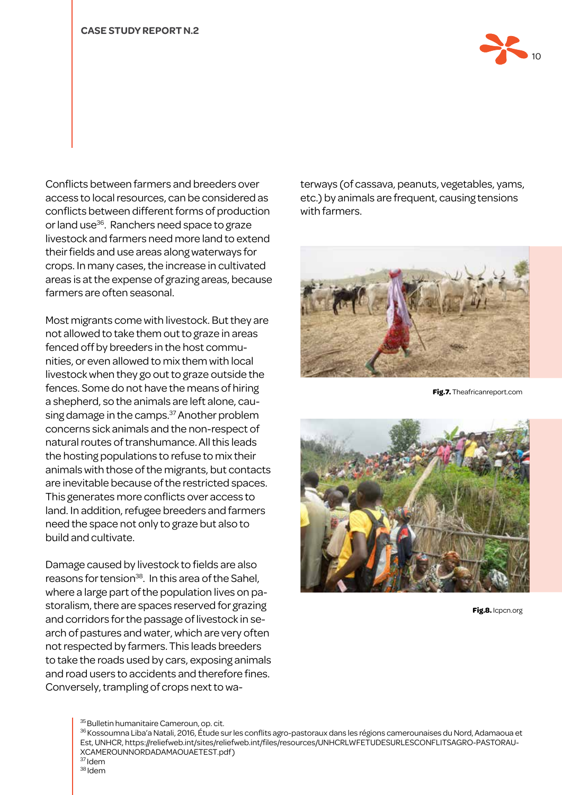

Conflicts between farmers and breeders over access to local resources, can be considered as conflicts between different forms of production or land use<sup>36</sup>. Ranchers need space to graze livestock and farmers need more land to extend their fields and use areas along waterways for crops. In many cases, the increase in cultivated areas is at the expense of grazing areas, because farmers are often seasonal.

Most migrants come with livestock. But they are not allowed to take them out to graze in areas fenced off by breeders in the host communities, or even allowed to mix them with local livestock when they go out to graze outside the fences. Some do not have the means of hiring a shepherd, so the animals are left alone, causing damage in the camps.<sup>37</sup> Another problem concerns sick animals and the non-respect of natural routes of transhumance. All this leads the hosting populations to refuse to mix their animals with those of the migrants, but contacts are inevitable because of the restricted spaces. This generates more conflicts over access to land. In addition, refugee breeders and farmers need the space not only to graze but also to build and cultivate.

Damage caused by livestock to fields are also reasons for tension<sup>38</sup>. In this area of the Sahel, where a large part of the population lives on pastoralism, there are spaces reserved for grazing and corridors for the passage of livestock in search of pastures and water, which are very often not respected by farmers. This leads breeders to take the roads used by cars, exposing animals and road users to accidents and therefore fines. Conversely, trampling of crops next to waterways (of cassava, peanuts, vegetables, yams, etc.) by animals are frequent, causing tensions with farmers.



**Fig.7.** Theafricanreport.com



**Fig.8.** Icpcn.org

<sup>35</sup> Bulletin humanitaire Cameroun, op. cit.

<sup>36</sup> Kossoumna Liba'a Natali, 2016, Étude sur les conflits agro-pastoraux dans les régions camerounaises du Nord, Adamaoua et Est, UNHCR, https://reliefweb.int/sites/reliefweb.int/files/resources/UNHCRLWFETUDESURLESCONFLITSAGRO-PASTORAU-XCAMEROUNNORDADAMAOUAETEST.pdf)  $37$  Idem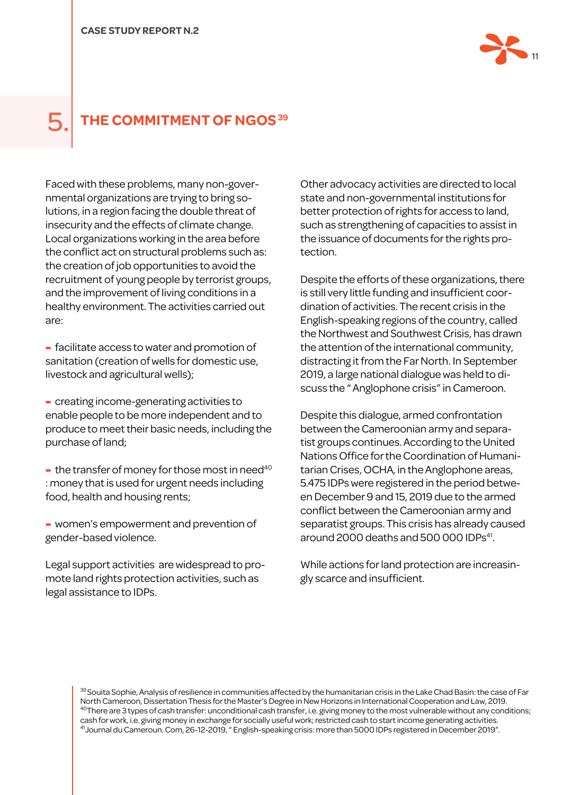

### **THE COMMITMENT OF NGOS 39**

Faced with these problems, many non-governmental organizations are trying to bring solutions, in a region facing the double threat of insecurity and the effects of climate change. Local organizations working in the area before the conflict act on structural problems such as: the creation of job opportunities to avoid the recruitment of young people by terrorist groups, and the improvement of living conditions in a healthy environment. The activities carried out are:

- facilitate access to water and promotion of sanitation (creation of wells for domestic use, livestock and agricultural wells);

- creating income-generating activities to enable people to be more independent and to produce to meet their basic needs, including the purchase of land;

 $\bullet$  the transfer of money for those most in need<sup>40</sup> : money that is used for urgent needs including food, health and housing rents;

- women's empowerment and prevention of gender-based violence.

Legal support activities are widespread to promote land rights protection activities, such as legal assistance to IDPs.

Other advocacy activities are directed to local state and non-governmental institutions for better protection of rights for access to land, such as strengthening of capacities to assist in the issuance of documents for the rights protection.

Despite the efforts of these organizations, there is still very little funding and insufficient coordination of activities. The recent crisis in the English-speaking regions of the country, called the Northwest and Southwest Crisis, has drawn the attention of the international community, distracting it from the Far North. In September 2019, a large national dialogue was held to discuss the " Anglophone crisis" in Cameroon.

Despite this dialogue, armed confrontation between the Cameroonian army and separatist groups continues. According to the United Nations Office for the Coordination of Humanitarian Crises, OCHA, in the Anglophone areas, 5.475 IDPs were registered in the period between December 9 and 15, 2019 due to the armed conflict between the Cameroonian army and separatist groups. This crisis has already caused around 2000 deaths and 500 000 IDPs<sup>41</sup>.

While actions for land protection are increasingly scarce and insufficient.

 $^\mathrm{39}$ Souita Sophie, Analysis of resilience in communities affected by the humanitarian crisis in the Lake Chad Basin: the case of Far North Cameroon, Dissertation Thesis for the Master's Degree in New Horizons in International Cooperation and Law, 2019. <sup>40</sup>There are 3 types of cash transfer: unconditional cash transfer, i.e. giving money to the most vulnerable without any conditions; cash for work, i.e. giving money in exchange for socially useful work; restricted cash to start income generating activities. 41Journal du Cameroun. Com, 26-12-2019, " English-speaking crisis: more than 5000 IDPs registered in December 2019".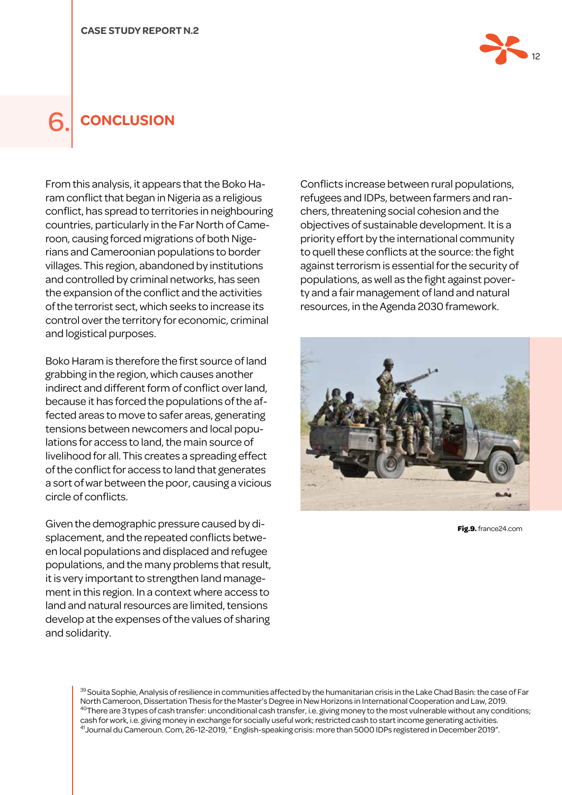

### 6. **Conclusion**

From this analysis, it appears that the Boko Haram conflict that began in Nigeria as a religious conflict, has spread to territories in neighbouring countries, particularly in the Far North of Cameroon, causing forced migrations of both Nigerians and Cameroonian populations to border villages. This region, abandoned by institutions and controlled by criminal networks, has seen the expansion of the conflict and the activities of the terrorist sect, which seeks to increase its control over the territory for economic, criminal and logistical purposes.

Boko Haram is therefore the first source of land grabbing in the region, which causes another indirect and different form of conflict over land, because it has forced the populations of the affected areas to move to safer areas, generating tensions between newcomers and local populations for access to land, the main source of livelihood for all. This creates a spreading effect of the conflict for access to land that generates a sort of war between the poor, causing a vicious circle of conflicts.

Given the demographic pressure caused by displacement, and the repeated conflicts between local populations and displaced and refugee populations, and the many problems that result, it is very important to strengthen land management in this region. In a context where access to land and natural resources are limited, tensions develop at the expenses of the values of sharing and solidarity.

Conflicts increase between rural populations, refugees and IDPs, between farmers and ranchers, threatening social cohesion and the objectives of sustainable development. It is a priority effort by the international community to quell these conflicts at the source: the fight against terrorism is essential for the security of populations, as well as the fight against poverty and a fair management of land and natural resources, in the Agenda 2030 framework.



**Fig.9.** france24.com

 $^{39}$ Souita Sophie, Analysis of resilience in communities affected by the humanitarian crisis in the Lake Chad Basin: the case of Far North Cameroon, Dissertation Thesis for the Master's Degree in New Horizons in International Cooperation and Law, 2019. <sup>40</sup>There are 3 types of cash transfer: unconditional cash transfer, i.e. giving money to the most vulnerable without any conditions; cash for work, i.e. giving money in exchange for socially useful work; restricted cash to start income generating activities. 41Journal du Cameroun. Com, 26-12-2019, " English-speaking crisis: more than 5000 IDPs registered in December 2019".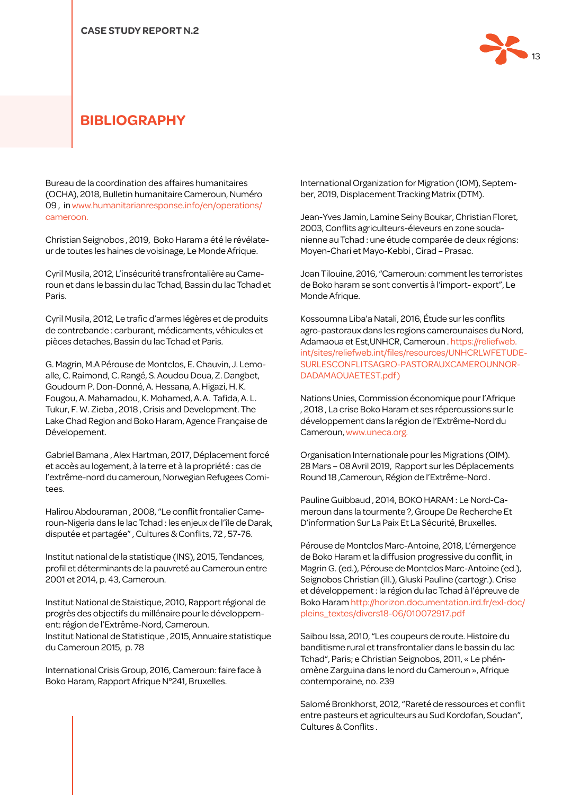

#### **BIBLIOGRAPHY**

Bureau de la coordination des affaires humanitaires (OCHA), 2018, Bulletin humanitaire Cameroun, Numéro 09 , in www.humanitarianresponse.info/en/operations/ cameroon.

Christian Seignobos , 2019, Boko Haram a été le révélateur de toutes les haines de voisinage, Le Monde Afrique.

Cyril Musila, 2012, L'insécurité transfrontalière au Cameroun et dans le bassin du lac Tchad, Bassin du lac Tchad et Paris.

Cyril Musila, 2012, Le trafic d'armes légères et de produits de contrebande : carburant, médicaments, véhicules et pièces detaches, Bassin du lac Tchad et Paris.

G. Magrin, M.A Pérouse de Montclos, E. Chauvin, J. Lemoalle, C. Raimond, C. Rangé, S. Aoudou Doua, Z. Dangbet, Goudoum P. Don-Donné, A. Hessana, A. Higazi, H. K. Fougou, A. Mahamadou, K. Mohamed, A. A. Tafida, A. L. Tukur, F. W. Zieba , 2018 , Crisis and Development. The Lake Chad Region and Boko Haram, Agence Française de Dévelopement.

Gabriel Bamana , Alex Hartman, 2017, Déplacement forcé et accès au logement, à la terre et à la propriété : cas de l'extrême-nord du cameroun, Norwegian Refugees Comitees.

Halirou Abdouraman , 2008, "Le conflit frontalier Cameroun-Nigeria dans le lac Tchad : les enjeux de l'île de Darak, disputée et partagée" , Cultures & Conflits, 72 , 57-76.

Institut national de la statistique (INS), 2015, Tendances, profil et déterminants de la pauvreté au Cameroun entre 2001 et 2014, p. 43, Cameroun.

Institut National de Staistique, 2010, Rapport régional de progrès des objectifs du millénaire pour le développement: région de l'Extrême-Nord, Cameroun. Institut National de Statistique , 2015, Annuaire statistique du Cameroun 2015, p. 78

International Crisis Group, 2016, Cameroun: faire face à Boko Haram, Rapport Afrique N°241, Bruxelles.

International Organization for Migration (IOM), September, 2019, Displacement Tracking Matrix (DTM).

Jean-Yves Jamin, Lamine Seiny Boukar, Christian Floret, 2003, Conflits agriculteurs-éleveurs en zone soudanienne au Tchad : une étude comparée de deux régions: Moyen-Chari et Mayo-Kebbi , Cirad – Prasac.

Joan Tilouine, 2016, "Cameroun: comment les terroristes de Boko haram se sont convertis à l'import- export", Le Monde Afrique.

Kossoumna Liba'a Natali, 2016, Étude sur les conflits agro-pastoraux dans les regions camerounaises du Nord, Adamaoua et Est,UNHCR, Cameroun . https://reliefweb. int/sites/reliefweb.int/files/resources/UNHCRLWFETUDE-SURLESCONFLITSAGRO-PASTORAUXCAMEROUNNOR-DADAMAOUAETEST.pdf)

Nations Unies, Commission économique pour l'Afrique , 2018 , La crise Boko Haram et ses répercussions sur le développement dans la région de l'Extrême-Nord du Cameroun, www.uneca.org.

Organisation Internationale pour les Migrations (OIM). 28 Mars – 08 Avril 2019, Rapport sur les Déplacements Round 18 ,Cameroun, Région de l'Extrême-Nord .

Pauline Guibbaud , 2014, BOKO HARAM : Le Nord-Cameroun dans la tourmente ?, Groupe De Recherche Et D'information Sur La Paix Et La Sécurité, Bruxelles.

Pérouse de Montclos Marc-Antoine, 2018, L'émergence de Boko Haram et la diffusion progressive du conflit, in Magrin G. (ed.), Pérouse de Montclos Marc-Antoine (ed.), Seignobos Christian (ill.), Gluski Pauline (cartogr.). Crise et développement : la région du lac Tchad à l'épreuve de Boko Haram http://horizon.documentation.ird.fr/exl-doc/ pleins\_textes/divers18-06/010072917.pdf

Saibou Issa, 2010, "Les coupeurs de route. Histoire du banditisme rural et transfrontalier dans le bassin du lac Tchad", Paris; e Christian Seignobos, 2011, « Le phénomène Zarguina dans le nord du Cameroun », Afrique contemporaine, no. 239

Salomé Bronkhorst, 2012, "Rareté de ressources et conflit entre pasteurs et agriculteurs au Sud Kordofan, Soudan", Cultures & Conflits .